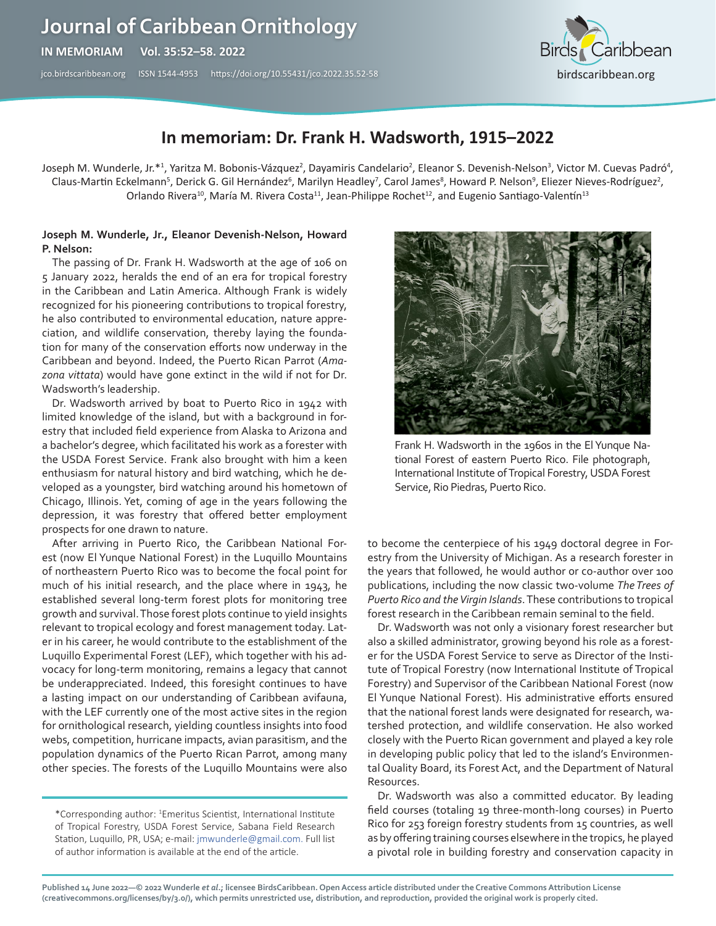# **Journal of Caribbean Ornithology**

**IN MEMORIAM Vol. 35:52–58. 2022** 

[jco.birdscaribbean.org](http://jco.birdscaribbean.org) ISSN 1544-4953 https:/[/doi.org/10.55431/jco.2022.35.52-](http://)58



## **In memoriam: Dr. Frank H. Wadsworth, 1915–2022**

Joseph M. Wunderle, Jr.\*1, Yaritza M. Bobonis-Vázquez<sup>2</sup>, Dayamiris Candelario<sup>2</sup>, Eleanor S. Devenish-Nelson<sup>3</sup>, Victor M. Cuevas Padró<sup>4</sup>, Claus-Martin Eckelmann<sup>5</sup>, Derick G. Gil Hernández<sup>6</sup>, Marilyn Headley<sup>7</sup>, Carol James<sup>8</sup>, Howard P. Nelson<sup>9</sup>, Eliezer Nieves-Rodríguez<sup>2</sup>, Orlando Rivera<sup>10</sup>, María M. Rivera Costa<sup>11</sup>, Jean-Philippe Rochet<sup>12</sup>, and Eugenio Santiago-Valentín<sup>13</sup>

#### **Joseph M. Wunderle, Jr., Eleanor Devenish-Nelson, Howard P. Nelson:**

The passing of Dr. Frank H. Wadsworth at the age of 106 on 5 January 2022, heralds the end of an era for tropical forestry in the Caribbean and Latin America. Although Frank is widely recognized for his pioneering contributions to tropical forestry, he also contributed to environmental education, nature appreciation, and wildlife conservation, thereby laying the foundation for many of the conservation efforts now underway in the Caribbean and beyond. Indeed, the Puerto Rican Parrot (*Amazona vittata*) would have gone extinct in the wild if not for Dr. Wadsworth's leadership.

Dr. Wadsworth arrived by boat to Puerto Rico in 1942 with limited knowledge of the island, but with a background in forestry that included field experience from Alaska to Arizona and a bachelor's degree, which facilitated his work as a forester with the USDA Forest Service. Frank also brought with him a keen enthusiasm for natural history and bird watching, which he developed as a youngster, bird watching around his hometown of Chicago, Illinois. Yet, coming of age in the years following the depression, it was forestry that offered better employment prospects for one drawn to nature.

After arriving in Puerto Rico, the Caribbean National Forest (now El Yunque National Forest) in the Luquillo Mountains of northeastern Puerto Rico was to become the focal point for much of his initial research, and the place where in 1943, he established several long-term forest plots for monitoring tree growth and survival. Those forest plots continue to yield insights relevant to tropical ecology and forest management today. Later in his career, he would contribute to the establishment of the Luquillo Experimental Forest (LEF), which together with his advocacy for long-term monitoring, remains a legacy that cannot be underappreciated. Indeed, this foresight continues to have a lasting impact on our understanding of Caribbean avifauna, with the LEF currently one of the most active sites in the region for ornithological research, yielding countless insights into food webs, competition, hurricane impacts, avian parasitism, and the population dynamics of the Puerto Rican Parrot, among many other species. The forests of the Luquillo Mountains were also

\*Corresponding author: 1 Emeritus Scientist, International Institute of Tropical Forestry, USDA Forest Service, Sabana Field Research Station, Luquillo, PR, USA; e-mail: [jmwunderle@gmail.com](mailto:jmwunderle@gmail.com). Full list of author information is available at the end of the article.



Frank H. Wadsworth in the 1960s in the El Yunque National Forest of eastern Puerto Rico. File photograph, International Institute of Tropical Forestry, USDA Forest Service, Rio Piedras, Puerto Rico.

to become the centerpiece of his 1949 doctoral degree in Forestry from the University of Michigan. As a research forester in the years that followed, he would author or co-author over 100 publications, including the now classic two-volume *The Trees of Puerto Rico and the Virgin Islands*. These contributions to tropical forest research in the Caribbean remain seminal to the field.

Dr. Wadsworth was not only a visionary forest researcher but also a skilled administrator, growing beyond his role as a forester for the USDA Forest Service to serve as Director of the Institute of Tropical Forestry (now International Institute of Tropical Forestry) and Supervisor of the Caribbean National Forest (now El Yunque National Forest). His administrative efforts ensured that the national forest lands were designated for research, watershed protection, and wildlife conservation. He also worked closely with the Puerto Rican government and played a key role in developing public policy that led to the island's Environmental Quality Board, its Forest Act, and the Department of Natural Resources.

Dr. Wadsworth was also a committed educator. By leading field courses (totaling 19 three-month-long courses) in Puerto Rico for 253 foreign forestry students from 15 countries, as well as by offering training courses elsewhere in the tropics, he played a pivotal role in building forestry and conservation capacity in

**Published 14 June 2022—© 2022 Wunderle** *et al***.; licensee BirdsCaribbean. Open Access article distributed under the Creative Commons Attribution License [\(creativecommons.org/licenses/by/3.0/\)](http://creativecommons.org/licenses/by/3.0/), which permits unrestricted use, distribution, and reproduction, provided the original work is properly cited.**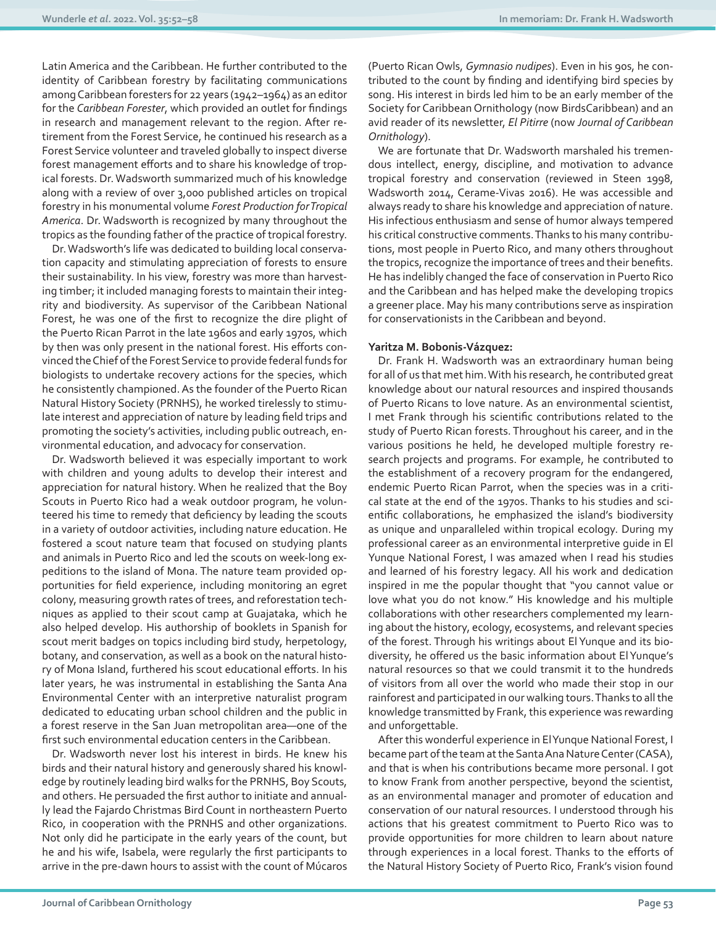Latin America and the Caribbean. He further contributed to the identity of Caribbean forestry by facilitating communications among Caribbean foresters for 22 years (1942–1964) as an editor for the *Caribbean Forester*, which provided an outlet for findings in research and management relevant to the region. After retirement from the Forest Service, he continued his research as a Forest Service volunteer and traveled globally to inspect diverse forest management efforts and to share his knowledge of tropical forests. Dr. Wadsworth summarized much of his knowledge along with a review of over 3,000 published articles on tropical forestry in his monumental volume *Forest Production for Tropical America*. Dr. Wadsworth is recognized by many throughout the tropics as the founding father of the practice of tropical forestry.

Dr. Wadsworth's life was dedicated to building local conservation capacity and stimulating appreciation of forests to ensure their sustainability. In his view, forestry was more than harvesting timber; it included managing forests to maintain their integrity and biodiversity. As supervisor of the Caribbean National Forest, he was one of the first to recognize the dire plight of the Puerto Rican Parrot in the late 1960s and early 1970s, which by then was only present in the national forest. His efforts convinced the Chief of the Forest Service to provide federal funds for biologists to undertake recovery actions for the species, which he consistently championed. As the founder of the Puerto Rican Natural History Society (PRNHS), he worked tirelessly to stimulate interest and appreciation of nature by leading field trips and promoting the society's activities, including public outreach, environmental education, and advocacy for conservation.

Dr. Wadsworth believed it was especially important to work with children and young adults to develop their interest and appreciation for natural history. When he realized that the Boy Scouts in Puerto Rico had a weak outdoor program, he volunteered his time to remedy that deficiency by leading the scouts in a variety of outdoor activities, including nature education. He fostered a scout nature team that focused on studying plants and animals in Puerto Rico and led the scouts on week-long expeditions to the island of Mona. The nature team provided opportunities for field experience, including monitoring an egret colony, measuring growth rates of trees, and reforestation techniques as applied to their scout camp at Guajataka, which he also helped develop. His authorship of booklets in Spanish for scout merit badges on topics including bird study, herpetology, botany, and conservation, as well as a book on the natural history of Mona Island, furthered his scout educational efforts. In his later years, he was instrumental in establishing the Santa Ana Environmental Center with an interpretive naturalist program dedicated to educating urban school children and the public in a forest reserve in the San Juan metropolitan area—one of the first such environmental education centers in the Caribbean.

Dr. Wadsworth never lost his interest in birds. He knew his birds and their natural history and generously shared his knowledge by routinely leading bird walks for the PRNHS, Boy Scouts, and others. He persuaded the first author to initiate and annually lead the Fajardo Christmas Bird Count in northeastern Puerto Rico, in cooperation with the PRNHS and other organizations. Not only did he participate in the early years of the count, but he and his wife, Isabela, were regularly the first participants to arrive in the pre-dawn hours to assist with the count of Múcaros (Puerto Rican Owls, *Gymnasio nudipes*). Even in his 90s, he contributed to the count by finding and identifying bird species by song. His interest in birds led him to be an early member of the Society for Caribbean Ornithology (now BirdsCaribbean) and an avid reader of its newsletter, *El Pitirre* (now *Journal of Caribbean Ornithology*).

We are fortunate that Dr. Wadsworth marshaled his tremendous intellect, energy, discipline, and motivation to advance tropical forestry and conservation (reviewed in Steen 1998, Wadsworth 2014, Cerame-Vivas 2016). He was accessible and always ready to share his knowledge and appreciation of nature. His infectious enthusiasm and sense of humor always tempered his critical constructive comments. Thanks to his many contributions, most people in Puerto Rico, and many others throughout the tropics, recognize the importance of trees and their benefits. He has indelibly changed the face of conservation in Puerto Rico and the Caribbean and has helped make the developing tropics a greener place. May his many contributions serve as inspiration for conservationists in the Caribbean and beyond.

#### **Yaritza M. Bobonis-Vázquez:**

Dr. Frank H. Wadsworth was an extraordinary human being for all of us that met him. With his research, he contributed great knowledge about our natural resources and inspired thousands of Puerto Ricans to love nature. As an environmental scientist, I met Frank through his scientific contributions related to the study of Puerto Rican forests. Throughout his career, and in the various positions he held, he developed multiple forestry research projects and programs. For example, he contributed to the establishment of a recovery program for the endangered, endemic Puerto Rican Parrot, when the species was in a critical state at the end of the 1970s. Thanks to his studies and scientific collaborations, he emphasized the island's biodiversity as unique and unparalleled within tropical ecology. During my professional career as an environmental interpretive guide in El Yunque National Forest, I was amazed when I read his studies and learned of his forestry legacy. All his work and dedication inspired in me the popular thought that "you cannot value or love what you do not know." His knowledge and his multiple collaborations with other researchers complemented my learning about the history, ecology, ecosystems, and relevant species of the forest. Through his writings about El Yunque and its biodiversity, he offered us the basic information about El Yunque's natural resources so that we could transmit it to the hundreds of visitors from all over the world who made their stop in our rainforest and participated in our walking tours. Thanks to all the knowledge transmitted by Frank, this experience was rewarding and unforgettable.

After this wonderful experience in El Yunque National Forest, I became part of the team at the Santa Ana Nature Center (CASA), and that is when his contributions became more personal. I got to know Frank from another perspective, beyond the scientist, as an environmental manager and promoter of education and conservation of our natural resources. I understood through his actions that his greatest commitment to Puerto Rico was to provide opportunities for more children to learn about nature through experiences in a local forest. Thanks to the efforts of the Natural History Society of Puerto Rico, Frank's vision found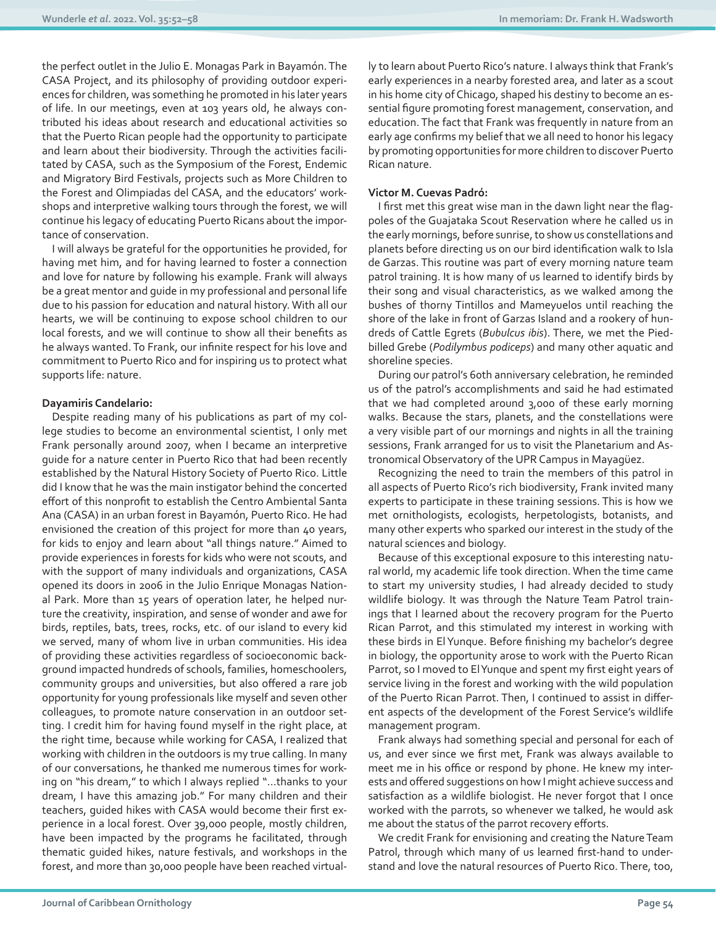the perfect outlet in the Julio E. Monagas Park in Bayamón. The CASA Project, and its philosophy of providing outdoor experiences for children, was something he promoted in his later years of life. In our meetings, even at 103 years old, he always contributed his ideas about research and educational activities so that the Puerto Rican people had the opportunity to participate and learn about their biodiversity. Through the activities facilitated by CASA, such as the Symposium of the Forest, Endemic and Migratory Bird Festivals, projects such as More Children to the Forest and Olimpiadas del CASA, and the educators' workshops and interpretive walking tours through the forest, we will continue his legacy of educating Puerto Ricans about the importance of conservation.

I will always be grateful for the opportunities he provided, for having met him, and for having learned to foster a connection and love for nature by following his example. Frank will always be a great mentor and guide in my professional and personal life due to his passion for education and natural history. With all our hearts, we will be continuing to expose school children to our local forests, and we will continue to show all their benefits as he always wanted. To Frank, our infinite respect for his love and commitment to Puerto Rico and for inspiring us to protect what supports life: nature.

#### **Dayamiris Candelario:**

Despite reading many of his publications as part of my college studies to become an environmental scientist, I only met Frank personally around 2007, when I became an interpretive guide for a nature center in Puerto Rico that had been recently established by the Natural History Society of Puerto Rico. Little did I know that he was the main instigator behind the concerted effort of this nonprofit to establish the Centro Ambiental Santa Ana (CASA) in an urban forest in Bayamón, Puerto Rico. He had envisioned the creation of this project for more than 40 years, for kids to enjoy and learn about "all things nature." Aimed to provide experiences in forests for kids who were not scouts, and with the support of many individuals and organizations, CASA opened its doors in 2006 in the Julio Enrique Monagas National Park. More than 15 years of operation later, he helped nurture the creativity, inspiration, and sense of wonder and awe for birds, reptiles, bats, trees, rocks, etc. of our island to every kid we served, many of whom live in urban communities. His idea of providing these activities regardless of socioeconomic background impacted hundreds of schools, families, homeschoolers, community groups and universities, but also offered a rare job opportunity for young professionals like myself and seven other colleagues, to promote nature conservation in an outdoor setting. I credit him for having found myself in the right place, at the right time, because while working for CASA, I realized that working with children in the outdoors is my true calling. In many of our conversations, he thanked me numerous times for working on "his dream," to which I always replied "...thanks to your dream, I have this amazing job." For many children and their teachers, guided hikes with CASA would become their first experience in a local forest. Over 39,000 people, mostly children, have been impacted by the programs he facilitated, through thematic guided hikes, nature festivals, and workshops in the forest, and more than 30,000 people have been reached virtually to learn about Puerto Rico's nature. I always think that Frank's early experiences in a nearby forested area, and later as a scout in his home city of Chicago, shaped his destiny to become an essential figure promoting forest management, conservation, and education. The fact that Frank was frequently in nature from an early age confirms my belief that we all need to honor his legacy by promoting opportunities for more children to discover Puerto Rican nature.

#### **Victor M. Cuevas Padró:**

I first met this great wise man in the dawn light near the flagpoles of the Guajataka Scout Reservation where he called us in the early mornings, before sunrise, to show us constellations and planets before directing us on our bird identification walk to Isla de Garzas. This routine was part of every morning nature team patrol training. It is how many of us learned to identify birds by their song and visual characteristics, as we walked among the bushes of thorny Tintillos and Mameyuelos until reaching the shore of the lake in front of Garzas Island and a rookery of hundreds of Cattle Egrets (*Bubulcus ibis*). There, we met the Piedbilled Grebe (*Podilymbus podiceps*) and many other aquatic and shoreline species.

During our patrol's 60th anniversary celebration, he reminded us of the patrol's accomplishments and said he had estimated that we had completed around 3,000 of these early morning walks. Because the stars, planets, and the constellations were a very visible part of our mornings and nights in all the training sessions, Frank arranged for us to visit the Planetarium and Astronomical Observatory of the UPR Campus in Mayagüez.

Recognizing the need to train the members of this patrol in all aspects of Puerto Rico's rich biodiversity, Frank invited many experts to participate in these training sessions. This is how we met ornithologists, ecologists, herpetologists, botanists, and many other experts who sparked our interest in the study of the natural sciences and biology.

Because of this exceptional exposure to this interesting natural world, my academic life took direction. When the time came to start my university studies, I had already decided to study wildlife biology. It was through the Nature Team Patrol trainings that I learned about the recovery program for the Puerto Rican Parrot, and this stimulated my interest in working with these birds in El Yunque. Before finishing my bachelor's degree in biology, the opportunity arose to work with the Puerto Rican Parrot, so I moved to El Yunque and spent my first eight years of service living in the forest and working with the wild population of the Puerto Rican Parrot. Then, I continued to assist in different aspects of the development of the Forest Service's wildlife management program.

Frank always had something special and personal for each of us, and ever since we first met, Frank was always available to meet me in his office or respond by phone. He knew my interests and offered suggestions on how I might achieve success and satisfaction as a wildlife biologist. He never forgot that I once worked with the parrots, so whenever we talked, he would ask me about the status of the parrot recovery efforts.

We credit Frank for envisioning and creating the Nature Team Patrol, through which many of us learned first-hand to understand and love the natural resources of Puerto Rico. There, too,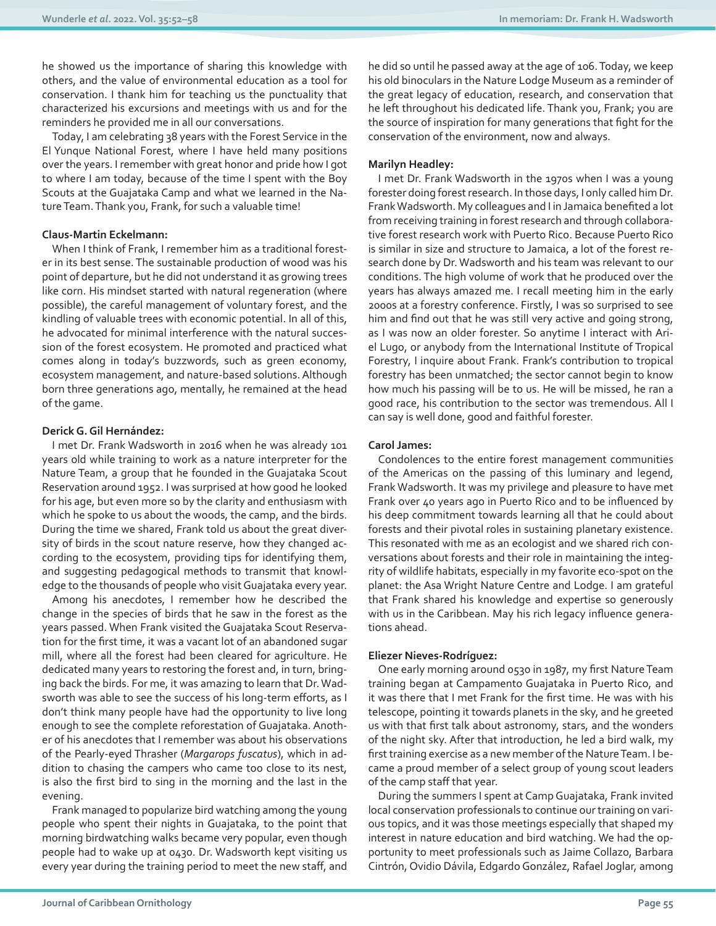he showed us the importance of sharing this knowledge with others, and the value of environmental education as a tool for conservation. I thank him for teaching us the punctuality that characterized his excursions and meetings with us and for the reminders he provided me in all our conversations.

Today, I am celebrating 38 years with the Forest Service in the El Yunque National Forest, where I have held many positions over the years. I remember with great honor and pride how I got to where I am today, because of the time I spent with the Boy Scouts at the Guajataka Camp and what we learned in the Nature Team. Thank you, Frank, for such a valuable time!

#### **Claus-Martin Eckelmann:**

When I think of Frank, I remember him as a traditional forester in its best sense. The sustainable production of wood was his point of departure, but he did not understand it as growing trees like corn. His mindset started with natural regeneration (where possible), the careful management of voluntary forest, and the kindling of valuable trees with economic potential. In all of this, he advocated for minimal interference with the natural succession of the forest ecosystem. He promoted and practiced what comes along in today's buzzwords, such as green economy, ecosystem management, and nature-based solutions. Although born three generations ago, mentally, he remained at the head of the game.

#### **Derick G. Gil Hernández:**

I met Dr. Frank Wadsworth in 2016 when he was already 101 years old while training to work as a nature interpreter for the Nature Team, a group that he founded in the Guajataka Scout Reservation around 1952. I was surprised at how good he looked for his age, but even more so by the clarity and enthusiasm with which he spoke to us about the woods, the camp, and the birds. During the time we shared, Frank told us about the great diversity of birds in the scout nature reserve, how they changed according to the ecosystem, providing tips for identifying them, and suggesting pedagogical methods to transmit that knowledge to the thousands of people who visit Guajataka every year.

Among his anecdotes, I remember how he described the change in the species of birds that he saw in the forest as the years passed. When Frank visited the Guajataka Scout Reservation for the first time, it was a vacant lot of an abandoned sugar mill, where all the forest had been cleared for agriculture. He dedicated many years to restoring the forest and, in turn, bringing back the birds. For me, it was amazing to learn that Dr. Wadsworth was able to see the success of his long-term efforts, as I don't think many people have had the opportunity to live long enough to see the complete reforestation of Guajataka. Another of his anecdotes that I remember was about his observations of the Pearly-eyed Thrasher (*Margarops fuscatus*), which in addition to chasing the campers who came too close to its nest, is also the first bird to sing in the morning and the last in the evening.

Frank managed to popularize bird watching among the young people who spent their nights in Guajataka, to the point that morning birdwatching walks became very popular, even though people had to wake up at 0430. Dr. Wadsworth kept visiting us every year during the training period to meet the new staff, and he did so until he passed away at the age of 106. Today, we keep his old binoculars in the Nature Lodge Museum as a reminder of the great legacy of education, research, and conservation that he left throughout his dedicated life. Thank you, Frank; you are the source of inspiration for many generations that fight for the conservation of the environment, now and always.

#### **Marilyn Headley:**

I met Dr. Frank Wadsworth in the 1970s when I was a young forester doing forest research. In those days, I only called him Dr. Frank Wadsworth. My colleagues and I in Jamaica benefited a lot from receiving training in forest research and through collaborative forest research work with Puerto Rico. Because Puerto Rico is similar in size and structure to Jamaica, a lot of the forest research done by Dr. Wadsworth and his team was relevant to our conditions. The high volume of work that he produced over the years has always amazed me. I recall meeting him in the early 2000s at a forestry conference. Firstly, I was so surprised to see him and find out that he was still very active and going strong, as I was now an older forester. So anytime I interact with Ariel Lugo, or anybody from the International Institute of Tropical Forestry, I inquire about Frank. Frank's contribution to tropical forestry has been unmatched; the sector cannot begin to know how much his passing will be to us. He will be missed, he ran a good race, his contribution to the sector was tremendous. All I can say is well done, good and faithful forester.

#### **Carol James:**

Condolences to the entire forest management communities of the Americas on the passing of this luminary and legend, Frank Wadsworth. It was my privilege and pleasure to have met Frank over 40 years ago in Puerto Rico and to be influenced by his deep commitment towards learning all that he could about forests and their pivotal roles in sustaining planetary existence. This resonated with me as an ecologist and we shared rich conversations about forests and their role in maintaining the integrity of wildlife habitats, especially in my favorite eco-spot on the planet: the Asa Wright Nature Centre and Lodge. I am grateful that Frank shared his knowledge and expertise so generously with us in the Caribbean. May his rich legacy influence generations ahead.

#### **Eliezer Nieves-Rodríguez:**

One early morning around 0530 in 1987, my first Nature Team training began at Campamento Guajataka in Puerto Rico, and it was there that I met Frank for the first time. He was with his telescope, pointing it towards planets in the sky, and he greeted us with that first talk about astronomy, stars, and the wonders of the night sky. After that introduction, he led a bird walk, my first training exercise as a new member of the Nature Team. I became a proud member of a select group of young scout leaders of the camp staff that year.

During the summers I spent at Camp Guajataka, Frank invited local conservation professionals to continue our training on various topics, and it was those meetings especially that shaped my interest in nature education and bird watching. We had the opportunity to meet professionals such as Jaime Collazo, Barbara Cintrón, Ovidio Dávila, Edgardo González, Rafael Joglar, among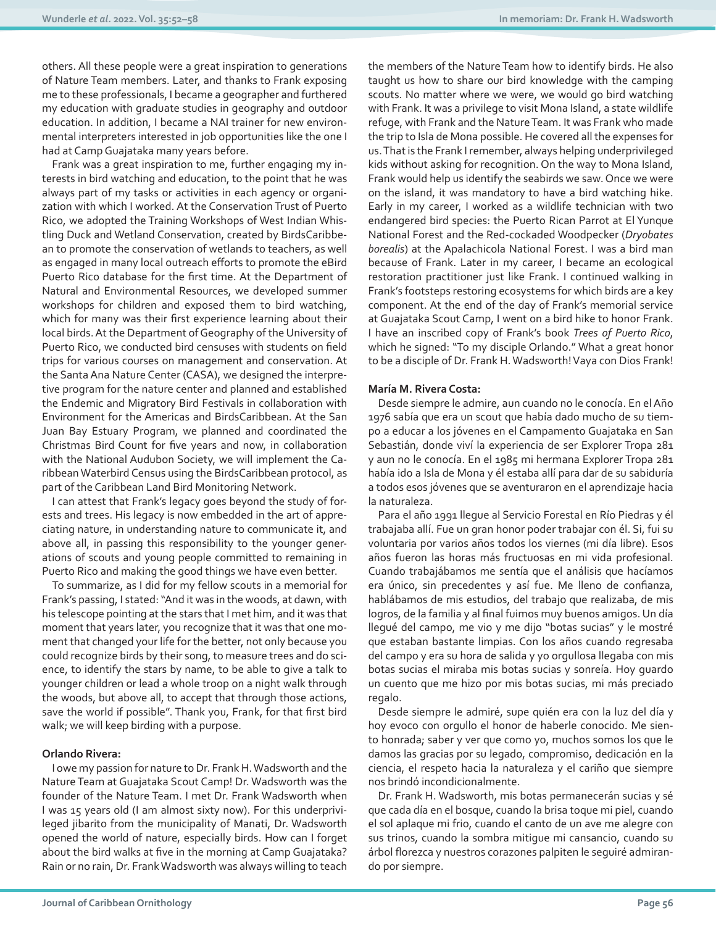others. All these people were a great inspiration to generations of Nature Team members. Later, and thanks to Frank exposing me to these professionals, I became a geographer and furthered my education with graduate studies in geography and outdoor education. In addition, I became a NAI trainer for new environmental interpreters interested in job opportunities like the one I had at Camp Guajataka many years before.

Frank was a great inspiration to me, further engaging my interests in bird watching and education, to the point that he was always part of my tasks or activities in each agency or organization with which I worked. At the Conservation Trust of Puerto Rico, we adopted the Training Workshops of West Indian Whistling Duck and Wetland Conservation, created by BirdsCaribbean to promote the conservation of wetlands to teachers, as well as engaged in many local outreach efforts to promote the eBird Puerto Rico database for the first time. At the Department of Natural and Environmental Resources, we developed summer workshops for children and exposed them to bird watching, which for many was their first experience learning about their local birds. At the Department of Geography of the University of Puerto Rico, we conducted bird censuses with students on field trips for various courses on management and conservation. At the Santa Ana Nature Center (CASA), we designed the interpretive program for the nature center and planned and established the Endemic and Migratory Bird Festivals in collaboration with Environment for the Americas and BirdsCaribbean. At the San Juan Bay Estuary Program, we planned and coordinated the Christmas Bird Count for five years and now, in collaboration with the National Audubon Society, we will implement the Caribbean Waterbird Census using the BirdsCaribbean protocol, as part of the Caribbean Land Bird Monitoring Network.

I can attest that Frank's legacy goes beyond the study of forests and trees. His legacy is now embedded in the art of appreciating nature, in understanding nature to communicate it, and above all, in passing this responsibility to the younger generations of scouts and young people committed to remaining in Puerto Rico and making the good things we have even better.

To summarize, as I did for my fellow scouts in a memorial for Frank's passing, I stated: "And it was in the woods, at dawn, with his telescope pointing at the stars that I met him, and it was that moment that years later, you recognize that it was that one moment that changed your life for the better, not only because you could recognize birds by their song, to measure trees and do science, to identify the stars by name, to be able to give a talk to younger children or lead a whole troop on a night walk through the woods, but above all, to accept that through those actions, save the world if possible". Thank you, Frank, for that first bird walk; we will keep birding with a purpose.

#### **Orlando Rivera:**

I owe my passion for nature to Dr. Frank H. Wadsworth and the Nature Team at Guajataka Scout Camp! Dr. Wadsworth was the founder of the Nature Team. I met Dr. Frank Wadsworth when I was 15 years old (I am almost sixty now). For this underprivileged jibarito from the municipality of Manati, Dr. Wadsworth opened the world of nature, especially birds. How can I forget about the bird walks at five in the morning at Camp Guajataka? Rain or no rain, Dr. Frank Wadsworth was always willing to teach the members of the Nature Team how to identify birds. He also taught us how to share our bird knowledge with the camping scouts. No matter where we were, we would go bird watching with Frank. It was a privilege to visit Mona Island, a state wildlife refuge, with Frank and the Nature Team. It was Frank who made the trip to Isla de Mona possible. He covered all the expenses for us. That is the Frank I remember, always helping underprivileged kids without asking for recognition. On the way to Mona Island, Frank would help us identify the seabirds we saw. Once we were on the island, it was mandatory to have a bird watching hike. Early in my career, I worked as a wildlife technician with two endangered bird species: the Puerto Rican Parrot at El Yunque National Forest and the Red-cockaded Woodpecker (*Dryobates borealis*) at the Apalachicola National Forest. I was a bird man because of Frank. Later in my career, I became an ecological restoration practitioner just like Frank. I continued walking in Frank's footsteps restoring ecosystems for which birds are a key component. At the end of the day of Frank's memorial service at Guajataka Scout Camp, I went on a bird hike to honor Frank. I have an inscribed copy of Frank's book *Trees of Puerto Rico*, which he signed: "To my disciple Orlando." What a great honor to be a disciple of Dr. Frank H. Wadsworth! Vaya con Dios Frank!

#### **María M. Rivera Costa:**

Desde siempre le admire, aun cuando no le conocía. En el Año 1976 sabía que era un scout que había dado mucho de su tiempo a educar a los jóvenes en el Campamento Guajataka en San Sebastián, donde viví la experiencia de ser Explorer Tropa 281 y aun no le conocía. En el 1985 mi hermana Explorer Tropa 281 había ido a Isla de Mona y él estaba allí para dar de su sabiduría a todos esos jóvenes que se aventuraron en el aprendizaje hacia la naturaleza.

Para el año 1991 llegue al Servicio Forestal en Río Piedras y él trabajaba allí. Fue un gran honor poder trabajar con él. Si, fui su voluntaria por varios años todos los viernes (mi día libre). Esos años fueron las horas más fructuosas en mi vida profesional. Cuando trabajábamos me sentía que el análisis que hacíamos era único, sin precedentes y así fue. Me lleno de confianza, hablábamos de mis estudios, del trabajo que realizaba, de mis logros, de la familia y al final fuimos muy buenos amigos. Un día llegué del campo, me vio y me dijo "botas sucias" y le mostré que estaban bastante limpias. Con los años cuando regresaba del campo y era su hora de salida y yo orgullosa llegaba con mis botas sucias el miraba mis botas sucias y sonreía. Hoy guardo un cuento que me hizo por mis botas sucias, mi más preciado regalo.

Desde siempre le admiré, supe quién era con la luz del día y hoy evoco con orgullo el honor de haberle conocido. Me siento honrada; saber y ver que como yo, muchos somos los que le damos las gracias por su legado, compromiso, dedicación en la ciencia, el respeto hacia la naturaleza y el cariño que siempre nos brindó incondicionalmente.

Dr. Frank H. Wadsworth, mis botas permanecerán sucias y sé que cada día en el bosque, cuando la brisa toque mi piel, cuando el sol aplaque mi frio, cuando el canto de un ave me alegre con sus trinos, cuando la sombra mitigue mi cansancio, cuando su árbol florezca y nuestros corazones palpiten le seguiré admirando por siempre.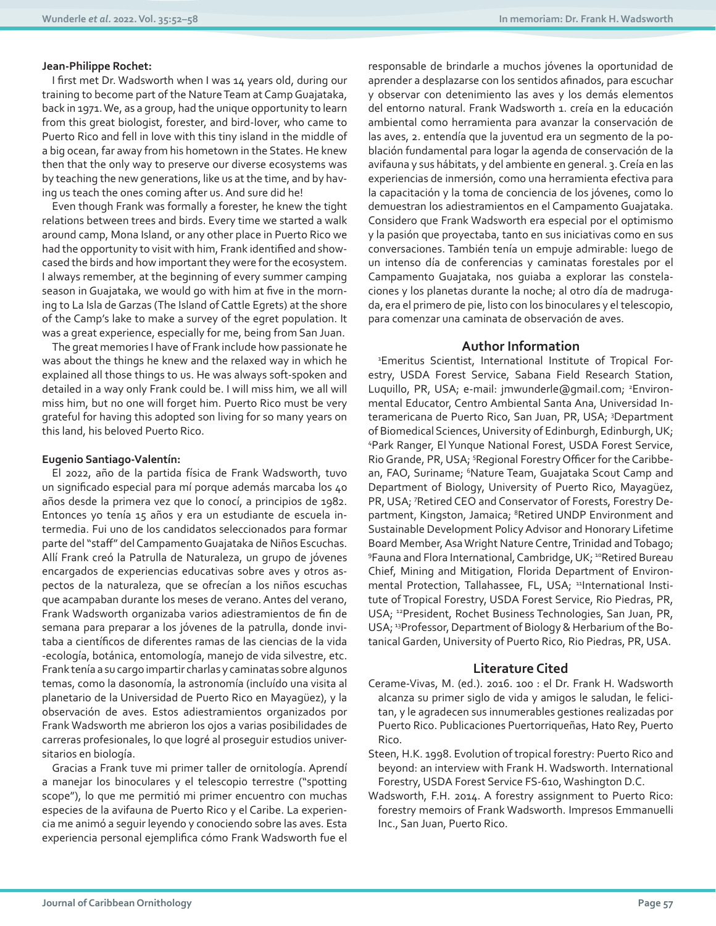#### **Jean-Philippe Rochet:**

I first met Dr. Wadsworth when I was 14 years old, during our training to become part of the Nature Team at Camp Guajataka, back in 1971. We, as a group, had the unique opportunity to learn from this great biologist, forester, and bird-lover, who came to Puerto Rico and fell in love with this tiny island in the middle of a big ocean, far away from his hometown in the States. He knew then that the only way to preserve our diverse ecosystems was by teaching the new generations, like us at the time, and by having us teach the ones coming after us. And sure did he!

Even though Frank was formally a forester, he knew the tight relations between trees and birds. Every time we started a walk around camp, Mona Island, or any other place in Puerto Rico we had the opportunity to visit with him, Frank identified and showcased the birds and how important they were for the ecosystem. I always remember, at the beginning of every summer camping season in Guajataka, we would go with him at five in the morning to La Isla de Garzas (The Island of Cattle Egrets) at the shore of the Camp's lake to make a survey of the egret population. It was a great experience, especially for me, being from San Juan.

The great memories I have of Frank include how passionate he was about the things he knew and the relaxed way in which he explained all those things to us. He was always soft-spoken and detailed in a way only Frank could be. I will miss him, we all will miss him, but no one will forget him. Puerto Rico must be very grateful for having this adopted son living for so many years on this land, his beloved Puerto Rico.

#### **Eugenio Santiago-Valentín:**

El 2022, año de la partida física de Frank Wadsworth, tuvo un significado especial para mí porque además marcaba los 40 años desde la primera vez que lo conocí, a principios de 1982. Entonces yo tenía 15 años y era un estudiante de escuela intermedia. Fui uno de los candidatos seleccionados para formar parte del "staff" del Campamento Guajataka de Niños Escuchas. Allí Frank creó la Patrulla de Naturaleza, un grupo de jóvenes encargados de experiencias educativas sobre aves y otros aspectos de la naturaleza, que se ofrecían a los niños escuchas que acampaban durante los meses de verano. Antes del verano, Frank Wadsworth organizaba varios adiestramientos de fin de semana para preparar a los jóvenes de la patrulla, donde invitaba a científicos de diferentes ramas de las ciencias de la vida -ecología, botánica, entomología, manejo de vida silvestre, etc. Frank tenía a su cargo impartir charlas y caminatas sobre algunos temas, como la dasonomía, la astronomía (incluído una visita al planetario de la Universidad de Puerto Rico en Mayagüez), y la observación de aves. Estos adiestramientos organizados por Frank Wadsworth me abrieron los ojos a varias posibilidades de carreras profesionales, lo que logré al proseguir estudios universitarios en biología.

Gracias a Frank tuve mi primer taller de ornitología. Aprendí a manejar los binoculares y el telescopio terrestre ("spotting scope"), lo que me permitió mi primer encuentro con muchas especies de la avifauna de Puerto Rico y el Caribe. La experiencia me animó a seguir leyendo y conociendo sobre las aves. Esta experiencia personal ejemplifica cómo Frank Wadsworth fue el

responsable de brindarle a muchos jóvenes la oportunidad de aprender a desplazarse con los sentidos afinados, para escuchar y observar con detenimiento las aves y los demás elementos del entorno natural. Frank Wadsworth 1. creía en la educación ambiental como herramienta para avanzar la conservación de las aves, 2. entendía que la juventud era un segmento de la población fundamental para logar la agenda de conservación de la avifauna y sus hábitats, y del ambiente en general. 3. Creía en las experiencias de inmersión, como una herramienta efectiva para la capacitación y la toma de conciencia de los jóvenes, como lo demuestran los adiestramientos en el Campamento Guajataka. Considero que Frank Wadsworth era especial por el optimismo y la pasión que proyectaba, tanto en sus iniciativas como en sus conversaciones. También tenía un empuje admirable: luego de un intenso día de conferencias y caminatas forestales por el Campamento Guajataka, nos guiaba a explorar las constelaciones y los planetas durante la noche; al otro día de madrugada, era el primero de pie, listo con los binoculares y el telescopio, para comenzar una caminata de observación de aves.

#### **Author Information**

1 Emeritus Scientist, International Institute of Tropical Forestry, USDA Forest Service, Sabana Field Research Station, Luquillo, PR, USA; e-mail: jmwunderle@gmail.com; <sup>2</sup>Environmental Educator, Centro Ambiental Santa Ana, Universidad Interamericana de Puerto Rico, San Juan, PR, USA; <sup>3</sup>Department of Biomedical Sciences, University of Edinburgh, Edinburgh, UK; 4 Park Ranger, El Yunque National Forest, USDA Forest Service, Rio Grande, PR, USA; <sup>5</sup>Regional Forestry Officer for the Caribbean, FAO, Suriname; <sup>6</sup>Nature Team, Guajataka Scout Camp and Department of Biology, University of Puerto Rico, Mayagüez, PR, USA; 7Retired CEO and Conservator of Forests, Forestry Department, Kingston, Jamaica; <sup>8</sup>Retired UNDP Environment and Sustainable Development Policy Advisor and Honorary Lifetime Board Member, Asa Wright Nature Centre, Trinidad and Tobago; <sup>9</sup>Fauna and Flora International, Cambridge, UK; <sup>10</sup>Retired Bureau Chief, Mining and Mitigation, Florida Department of Environmental Protection, Tallahassee, FL, USA; 11International Institute of Tropical Forestry, USDA Forest Service, Rio Piedras, PR, USA; 12President, Rochet Business Technologies, San Juan, PR, USA; 13Professor, Department of Biology & Herbarium of the Botanical Garden, University of Puerto Rico, Rio Piedras, PR, USA.

#### **Literature Cited**

- Cerame-Vivas, M. (ed.). 2016. 100 : el Dr. Frank H. Wadsworth alcanza su primer siglo de vida y amigos le saludan, le felicitan, y le agradecen sus innumerables gestiones realizadas por Puerto Rico. Publicaciones Puertorriqueñas, Hato Rey, Puerto Rico.
- Steen, H.K. 1998. Evolution of tropical forestry: Puerto Rico and beyond: an interview with Frank H. Wadsworth. International Forestry, USDA Forest Service FS-610, Washington D.C.
- Wadsworth, F.H. 2014. A forestry assignment to Puerto Rico: forestry memoirs of Frank Wadsworth. Impresos Emmanuelli Inc., San Juan, Puerto Rico.